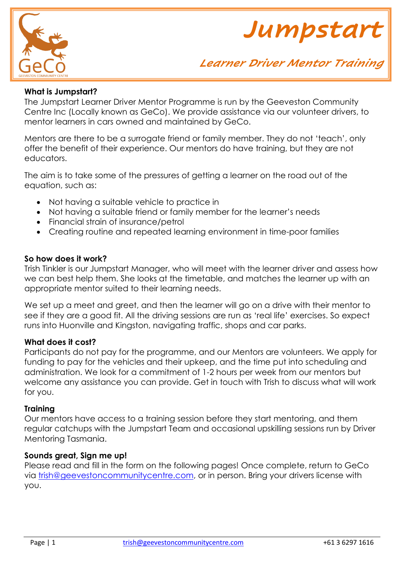



### **What is Jumpstart?**

The Jumpstart Learner Driver Mentor Programme is run by the Geeveston Community Centre Inc (Locally known as GeCo). We provide assistance via our volunteer drivers, to mentor learners in cars owned and maintained by GeCo.

Mentors are there to be a surrogate friend or family member. They do not 'teach', only offer the benefit of their experience. Our mentors do have training, but they are not educators.

The aim is to take some of the pressures of getting a learner on the road out of the equation, such as:

- Not having a suitable vehicle to practice in
- Not having a suitable friend or family member for the learner's needs
- Financial strain of insurance/petrol
- Creating routine and repeated learning environment in time-poor families

#### **So how does it work?**

Trish Tinkler is our Jumpstart Manager, who will meet with the learner driver and assess how we can best help them. She looks at the timetable, and matches the learner up with an appropriate mentor suited to their learning needs.

We set up a meet and greet, and then the learner will go on a drive with their mentor to see if they are a good fit. All the driving sessions are run as 'real life' exercises. So expect runs into Huonville and Kingston, navigating traffic, shops and car parks.

#### **What does it cost?**

Participants do not pay for the programme, and our Mentors are volunteers. We apply for funding to pay for the vehicles and their upkeep, and the time put into scheduling and administration. We look for a commitment of 1-2 hours per week from our mentors but welcome any assistance you can provide. Get in touch with Trish to discuss what will work for you.

#### **Training**

Our mentors have access to a training session before they start mentoring, and them regular catchups with the Jumpstart Team and occasional upskilling sessions run by Driver Mentoring Tasmania.

#### **Sounds great, Sign me up!**

Please read and fill in the form on the following pages! Once complete, return to GeCo via [trish@geevestoncommunitycentre.com,](mailto:trish@geevestoncommunitycentre.com) or in person. Bring your drivers license with you.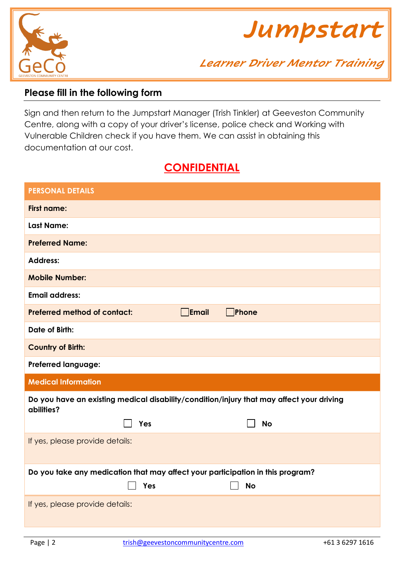



# **Please fill in the following form**

Sign and then return to the Jumpstart Manager (Trish Tinkler) at Geeveston Community Centre, along with a copy of your driver's license, police check and Working with Vulnerable Children check if you have them. We can assist in obtaining this documentation at our cost.

# **CONFIDENTIAL**

| <b>PERSONAL DETAILS</b>                                                                                |  |  |  |  |  |
|--------------------------------------------------------------------------------------------------------|--|--|--|--|--|
| <b>First name:</b>                                                                                     |  |  |  |  |  |
| <b>Last Name:</b>                                                                                      |  |  |  |  |  |
| <b>Preferred Name:</b>                                                                                 |  |  |  |  |  |
| <b>Address:</b>                                                                                        |  |  |  |  |  |
| <b>Mobile Number:</b>                                                                                  |  |  |  |  |  |
| <b>Email address:</b>                                                                                  |  |  |  |  |  |
| $\Box$ Email<br>Phone<br><b>Preferred method of contact:</b>                                           |  |  |  |  |  |
| Date of Birth:                                                                                         |  |  |  |  |  |
| <b>Country of Birth:</b>                                                                               |  |  |  |  |  |
| <b>Preferred language:</b>                                                                             |  |  |  |  |  |
| <b>Medical Information</b>                                                                             |  |  |  |  |  |
| Do you have an existing medical disability/condition/injury that may affect your driving<br>abilities? |  |  |  |  |  |
| Yes<br><b>No</b>                                                                                       |  |  |  |  |  |
| If yes, please provide details:                                                                        |  |  |  |  |  |
| Do you take any medication that may affect your participation in this program?                         |  |  |  |  |  |
| Yes<br><b>No</b>                                                                                       |  |  |  |  |  |
| If yes, please provide details:                                                                        |  |  |  |  |  |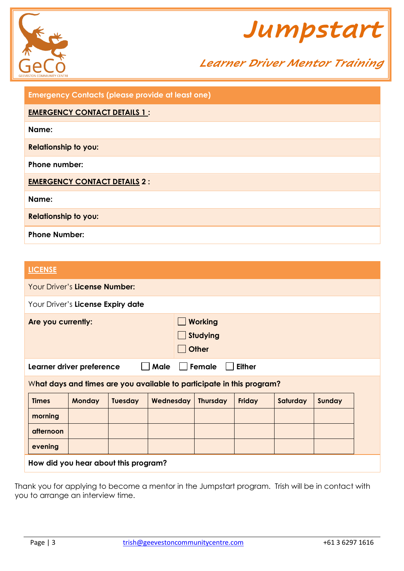



| <b>Emergency Contacts (please provide at least one)</b> |
|---------------------------------------------------------|
| <b>EMERGENCY CONTACT DETAILS 1:</b>                     |
| Name:                                                   |
| <b>Relationship to you:</b>                             |
| Phone number:                                           |
| <b>EMERGENCY CONTACT DETAILS 2:</b>                     |
| Name:                                                   |
| <b>Relationship to you:</b>                             |
| <b>Phone Number:</b>                                    |

# **LICENSE**

| Your Driver's License Number:                                         |               |                |           |                                                   |        |          |        |  |
|-----------------------------------------------------------------------|---------------|----------------|-----------|---------------------------------------------------|--------|----------|--------|--|
| Your Driver's License Expiry date                                     |               |                |           |                                                   |        |          |        |  |
| Are you currently:                                                    |               |                |           | <b>Working</b><br><b>Studying</b><br><b>Other</b> |        |          |        |  |
| <b>Male</b><br>Female<br><b>Either</b><br>Learner driver preference   |               |                |           |                                                   |        |          |        |  |
| What days and times are you available to participate in this program? |               |                |           |                                                   |        |          |        |  |
| <b>Times</b>                                                          | <b>Monday</b> | <b>Tuesday</b> | Wednesday | <b>Thursday</b>                                   | Friday | Saturday | Sunday |  |
| morning                                                               |               |                |           |                                                   |        |          |        |  |
| afternoon                                                             |               |                |           |                                                   |        |          |        |  |
| evening                                                               |               |                |           |                                                   |        |          |        |  |
| How did you hear about this program?                                  |               |                |           |                                                   |        |          |        |  |

Thank you for applying to become a mentor in the Jumpstart program. Trish will be in contact with you to arrange an interview time.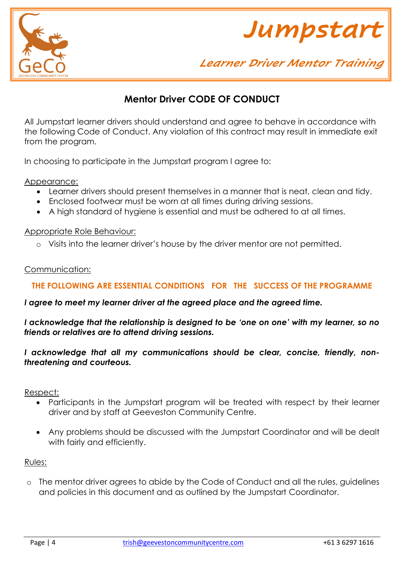



# **Mentor Driver CODE OF CONDUCT**

All Jumpstart learner drivers should understand and agree to behave in accordance with the following Code of Conduct. Any violation of this contract may result in immediate exit from the program.

In choosing to participate in the Jumpstart program I agree to:

Appearance:

- Learner drivers should present themselves in a manner that is neat, clean and tidy.
- Enclosed footwear must be worn at all times during driving sessions.
- A high standard of hygiene is essential and must be adhered to at all times.

#### Appropriate Role Behaviour:

o Visits into the learner driver's house by the driver mentor are not permitted.

#### Communication:

## **THE FOLLOWING ARE ESSENTIAL CONDITIONS FOR THE SUCCESS OF THE PROGRAMME**

#### *I agree to meet my learner driver at the agreed place and the agreed time.*

*I acknowledge that the relationship is designed to be 'one on one' with my learner, so no friends or relatives are to attend driving sessions.*

### *I acknowledge that all my communications should be clear, concise, friendly, nonthreatening and courteous.*

Respect:

- Participants in the Jumpstart program will be treated with respect by their learner driver and by staff at Geeveston Community Centre.
- Any problems should be discussed with the Jumpstart Coordinator and will be dealt with fairly and efficiently.

#### Rules:

o The mentor driver agrees to abide by the Code of Conduct and all the rules, guidelines and policies in this document and as outlined by the Jumpstart Coordinator.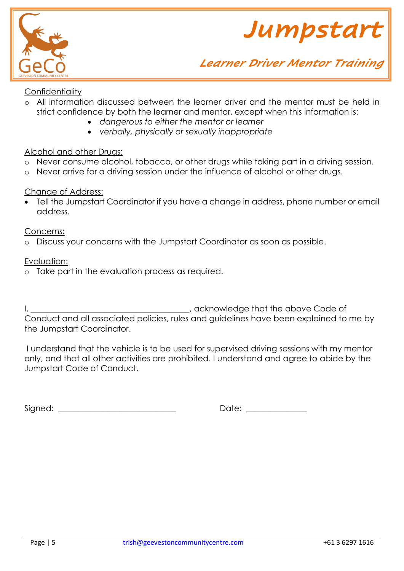



# **Confidentiality**

- o All information discussed between the learner driver and the mentor must be held in strict confidence by both the learner and mentor, except when this information is:
	- *dangerous to either the mentor or learner*
	- *verbally, physically or sexually inappropriate*

### Alcohol and other Drugs:

- o Never consume alcohol, tobacco, or other drugs while taking part in a driving session.
- o Never arrive for a driving session under the influence of alcohol or other drugs.

### Change of Address:

• Tell the Jumpstart Coordinator if you have a change in address, phone number or email address.

#### Concerns:

o Discuss your concerns with the Jumpstart Coordinator as soon as possible.

### Evaluation:

o Take part in the evaluation process as required.

I, **I**, **Example 20** is a constructed that the above Code of Conduct and all associated policies, rules and guidelines have been explained to me by the Jumpstart Coordinator.

I understand that the vehicle is to be used for supervised driving sessions with my mentor only, and that all other activities are prohibited. I understand and agree to abide by the Jumpstart Code of Conduct.

Signed: \_\_\_\_\_\_\_\_\_\_\_\_\_\_\_\_\_\_\_\_\_\_\_\_\_\_\_\_\_ Date: \_\_\_\_\_\_\_\_\_\_\_\_\_\_\_